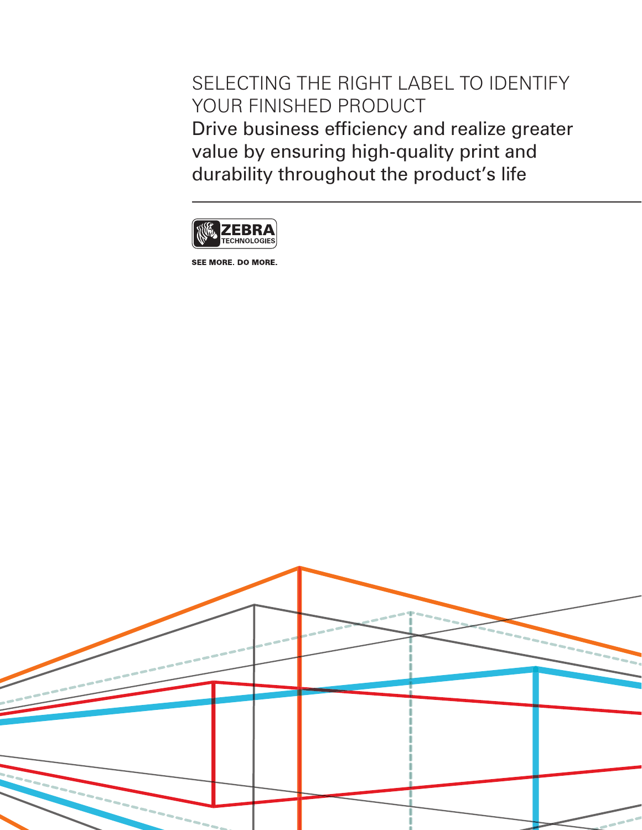SELECTING THE RIGHT LABEL TO IDENTIFY YOUR FINISHED PRODUCT Drive business efficiency and realize greater value by ensuring high-quality print and durability throughout the product's life



SEE MORE. DO MORE.

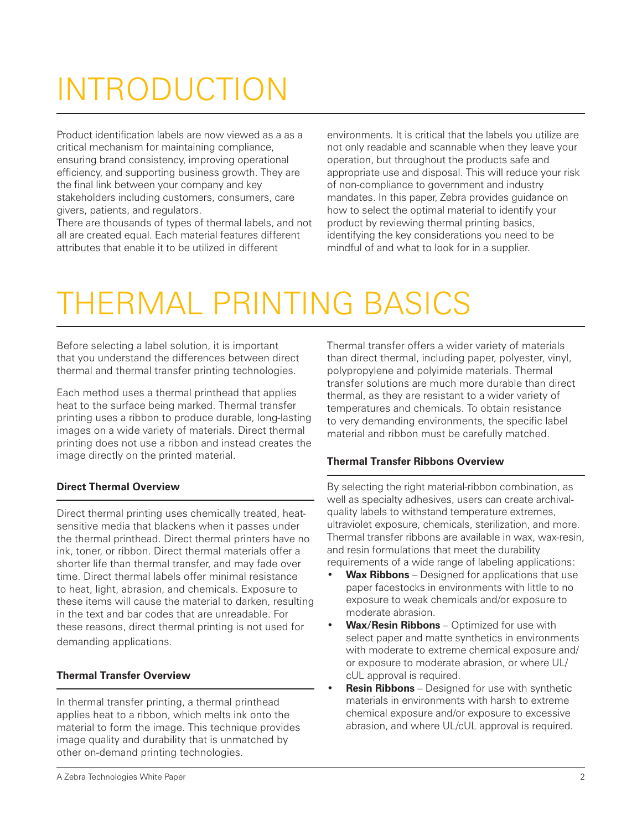# INTRODUCTION

Product identification labels are now viewed as a as a critical mechanism for maintaining compliance, ensuring brand consistency, improving operational efficiency, and supporting business growth. They are the final link between your company and key stakeholders including customers, consumers, care givers, patients, and regulators.

There are thousands of types of thermal labels, and not all are created equal. Each material features different attributes that enable it to be utilized in different

environments. It is critical that the labels you utilize are not only readable and scannable when they leave your operation, but throughout the products safe and appropriate use and disposal. This will reduce your risk of non-compliance to government and industry mandates. In this paper, Zebra provides guidance on how to select the optimal material to identify your product by reviewing thermal printing basics, identifying the key considerations you need to be mindful of and what to look for in a supplier.

# THERMAL PRINTING BASICS

Before selecting a label solution, it is important that you understand the differences between direct thermal and thermal transfer printing technologies.

Each method uses a thermal printhead that applies heat to the surface being marked. Thermal transfer printing uses a ribbon to produce durable, long-lasting images on a wide variety of materials. Direct thermal printing does not use a ribbon and instead creates the image directly on the printed material.

## **Direct Thermal Overview**

Direct thermal printing uses chemically treated, heatsensitive media that blackens when it passes under the thermal printhead. Direct thermal printers have no ink, toner, or ribbon. Direct thermal materials offer a shorter life than thermal transfer, and may fade over time. Direct thermal labels offer minimal resistance to heat, light, abrasion, and chemicals. Exposure to these items will cause the material to darken, resulting in the text and bar codes that are unreadable. For these reasons, direct thermal printing is not used for demanding applications.

## **Thermal Transfer Overview**

In thermal transfer printing, a thermal printhead applies heat to a ribbon, which melts ink onto the material to form the image. This technique provides image quality and durability that is unmatched by other on-demand printing technologies.

Thermal transfer offers a wider variety of materials than direct thermal, including paper, polyester, vinyl, polypropylene and polyimide materials. Thermal transfer solutions are much more durable than direct thermal, as they are resistant to a wider variety of temperatures and chemicals. To obtain resistance to very demanding environments, the specific label material and ribbon must be carefully matched.

### **Thermal Transfer Ribbons Overview**

By selecting the right material-ribbon combination, as well as specialty adhesives, users can create archivalquality labels to withstand temperature extremes, ultraviolet exposure, chemicals, sterilization, and more. Thermal transfer ribbons are available in wax, wax-resin, and resin formulations that meet the durability requirements of a wide range of labeling applications:

- **Wax Ribbons** Designed for applications that use paper facestocks in environments with little to no exposure to weak chemicals and/or exposure to moderate abrasion.
- **Wax/Resin Ribbons** Optimized for use with select paper and matte synthetics in environments with moderate to extreme chemical exposure and/ or exposure to moderate abrasion, or where UL/ cUL approval is required.
- **Resin Ribbons** Designed for use with synthetic materials in environments with harsh to extreme chemical exposure and/or exposure to excessive abrasion, and where UL/cUL approval is required.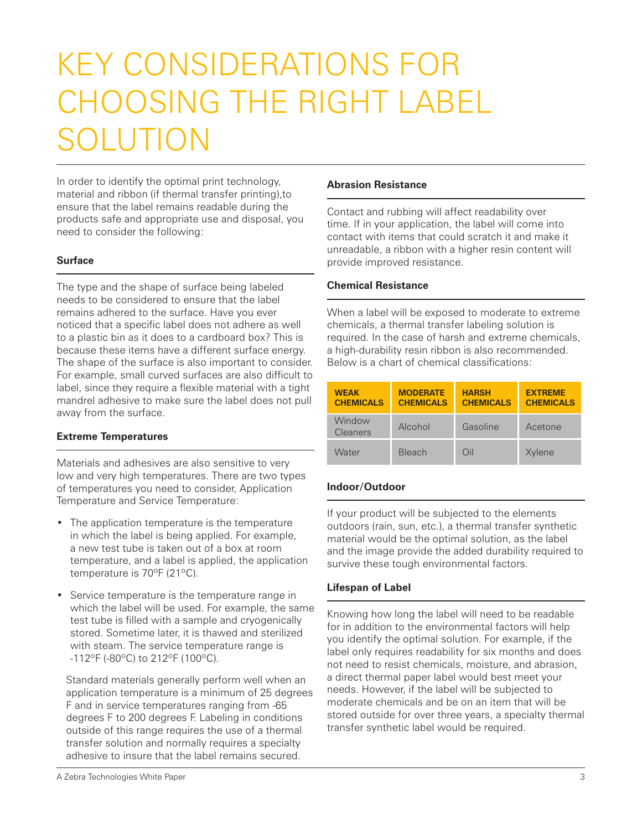## KEY CONSIDERATIONS FOR CHOOSING THE RIGHT LABEL SOLUTION

In order to identify the optimal print technology, material and ribbon (if thermal transfer printing),to ensure that the label remains readable during the products safe and appropriate use and disposal, you need to consider the following:

#### **Surface**

The type and the shape of surface being labeled needs to be considered to ensure that the label remains adhered to the surface. Have you ever noticed that a specific label does not adhere as well to a plastic bin as it does to a cardboard box? This is because these items have a different surface energy. The shape of the surface is also important to consider. For example, small curved surfaces are also difficult to label, since they require a flexible material with a tight mandrel adhesive to make sure the label does not pull away from the surface.

#### **Extreme Temperatures**

Materials and adhesives are also sensitive to very low and very high temperatures. There are two types of temperatures you need to consider, Application Temperature and Service Temperature:

- The application temperature is the temperature in which the label is being applied. For example, a new test tube is taken out of a box at room temperature, and a label is applied, the application temperature is 70ºF (21ºC).
- Service temperature is the temperature range in which the label will be used. For example, the same test tube is filled with a sample and cryogenically stored. Sometime later, it is thawed and sterilized with steam. The service temperature range is -112ºF (-80ºC) to 212ºF (100ºC).

Standard materials generally perform well when an application temperature is a minimum of 25 degrees F and in service temperatures ranging from -65 degrees F to 200 degrees F. Labeling in conditions outside of this range requires the use of a thermal transfer solution and normally requires a specialty adhesive to insure that the label remains secured.

#### **Abrasion Resistance**

Contact and rubbing will affect readability over time. If in your application, the label will come into contact with items that could scratch it and make it unreadable, a ribbon with a higher resin content will provide improved resistance.

#### **Chemical Resistance**

When a label will be exposed to moderate to extreme chemicals, a thermal transfer labeling solution is required. In the case of harsh and extreme chemicals, a high-durability resin ribbon is also recommended. Below is a chart of chemical classifications:

| <b>WEAK</b><br><b>CHEMICALS</b> | <b>MODERATE</b><br><b>CHEMICALS</b> | <b>HARSH</b><br><b>CHEMICALS</b> | <b>EXTREME</b><br><b>CHEMICALS</b> |
|---------------------------------|-------------------------------------|----------------------------------|------------------------------------|
| Window<br><b>Cleaners</b>       | Alcohol                             | Gasoline                         | Acetone                            |
| Water                           | <b>Bleach</b>                       | Oil                              | Xylene                             |

#### **Indoor/Outdoor**

If your product will be subjected to the elements outdoors (rain, sun, etc.), a thermal transfer synthetic material would be the optimal solution, as the label and the image provide the added durability required to survive these tough environmental factors.

### **Lifespan of Label**

Knowing how long the label will need to be readable for in addition to the environmental factors will help you identify the optimal solution. For example, if the label only requires readability for six months and does not need to resist chemicals, moisture, and abrasion, a direct thermal paper label would best meet your needs. However, if the label will be subjected to moderate chemicals and be on an item that will be stored outside for over three years, a specialty thermal transfer synthetic label would be required.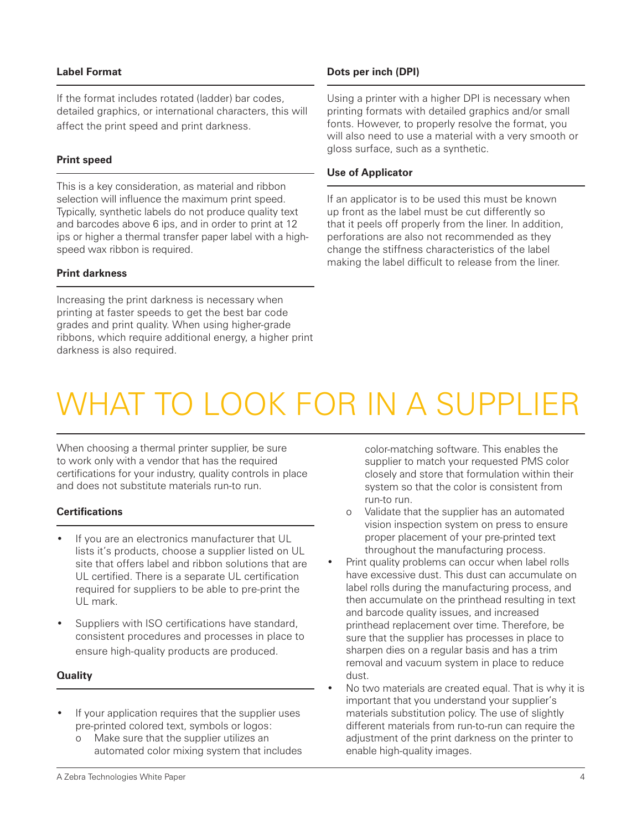#### **Label Format**

If the format includes rotated (ladder) bar codes, detailed graphics, or international characters, this will affect the print speed and print darkness.

#### **Print speed**

This is a key consideration, as material and ribbon selection will influence the maximum print speed. Typically, synthetic labels do not produce quality text and barcodes above 6 ips, and in order to print at 12 ips or higher a thermal transfer paper label with a highspeed wax ribbon is required.

#### **Print darkness**

Increasing the print darkness is necessary when printing at faster speeds to get the best bar code grades and print quality. When using higher-grade ribbons, which require additional energy, a higher print darkness is also required.

#### **Dots per inch (DPI)**

Using a printer with a higher DPI is necessary when printing formats with detailed graphics and/or small fonts. However, to properly resolve the format, you will also need to use a material with a very smooth or gloss surface, such as a synthetic.

#### **Use of Applicator**

If an applicator is to be used this must be known up front as the label must be cut differently so that it peels off properly from the liner. In addition, perforations are also not recommended as they change the stiffness characteristics of the label making the label difficult to release from the liner.

## WHAT TO LOOK FOR IN A SUPPLIER

When choosing a thermal printer supplier, be sure to work only with a vendor that has the required certifications for your industry, quality controls in place and does not substitute materials run-to run.

#### **Certifications**

- If you are an electronics manufacturer that UL lists it's products, choose a supplier listed on UL site that offers label and ribbon solutions that are UL certified. There is a separate UL certification required for suppliers to be able to pre-print the UL mark.
- Suppliers with ISO certifications have standard, consistent procedures and processes in place to ensure high-quality products are produced.

#### **Quality**

- If your application requires that the supplier uses pre-printed colored text, symbols or logos:
	- o Make sure that the supplier utilizes an automated color mixing system that includes

color-matching software. This enables the supplier to match your requested PMS color closely and store that formulation within their system so that the color is consistent from run-to run.

- o Validate that the supplier has an automated vision inspection system on press to ensure proper placement of your pre-printed text throughout the manufacturing process.
- Print quality problems can occur when label rolls have excessive dust. This dust can accumulate on label rolls during the manufacturing process, and then accumulate on the printhead resulting in text and barcode quality issues, and increased printhead replacement over time. Therefore, be sure that the supplier has processes in place to sharpen dies on a regular basis and has a trim removal and vacuum system in place to reduce dust.
- No two materials are created equal. That is why it is important that you understand your supplier's materials substitution policy. The use of slightly different materials from run-to-run can require the adjustment of the print darkness on the printer to enable high-quality images.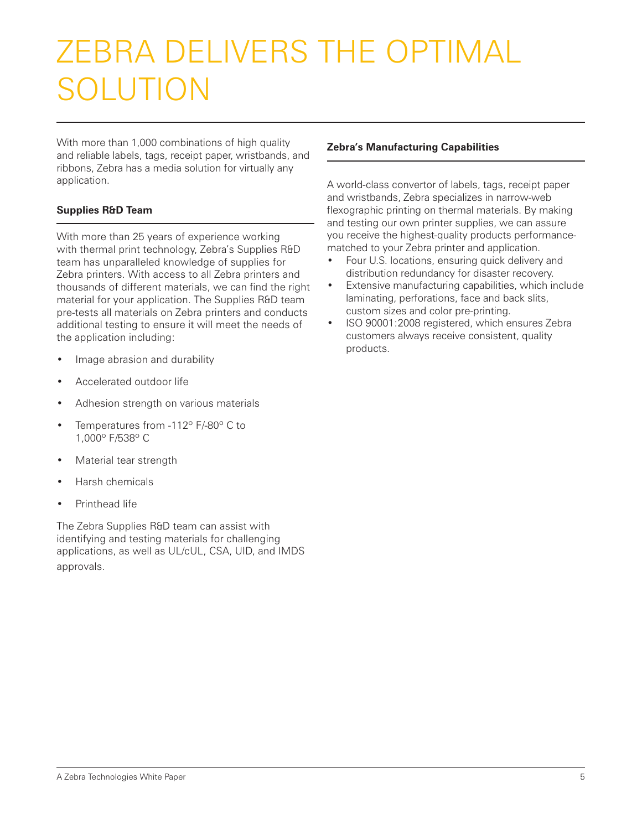## ZEBRA DELIVERS THE OPTIMAL SOLUTION

With more than 1,000 combinations of high quality and reliable labels, tags, receipt paper, wristbands, and ribbons, Zebra has a media solution for virtually any application.

## **Supplies R&D Team**

With more than 25 years of experience working with thermal print technology, Zebra's Supplies R&D team has unparalleled knowledge of supplies for Zebra printers. With access to all Zebra printers and thousands of different materials, we can find the right material for your application. The Supplies R&D team pre-tests all materials on Zebra printers and conducts additional testing to ensure it will meet the needs of the application including:

- Image abrasion and durability
- Accelerated outdoor life
- Adhesion strength on various materials
- Temperatures from -112° F/-80° C to 1,000º F/538º C
- Material tear strength
- Harsh chemicals
- Printhead life

The Zebra Supplies R&D team can assist with identifying and testing materials for challenging applications, as well as UL/cUL, CSA, UID, and IMDS approvals.

#### **Zebra's Manufacturing Capabilities**

A world-class convertor of labels, tags, receipt paper and wristbands, Zebra specializes in narrow-web flexographic printing on thermal materials. By making and testing our own printer supplies, we can assure you receive the highest-quality products performancematched to your Zebra printer and application.

- Four U.S. locations, ensuring quick delivery and distribution redundancy for disaster recovery.
- • Extensive manufacturing capabilities, which include laminating, perforations, face and back slits, custom sizes and color pre-printing.
- • ISO 90001:2008 registered, which ensures Zebra customers always receive consistent, quality products.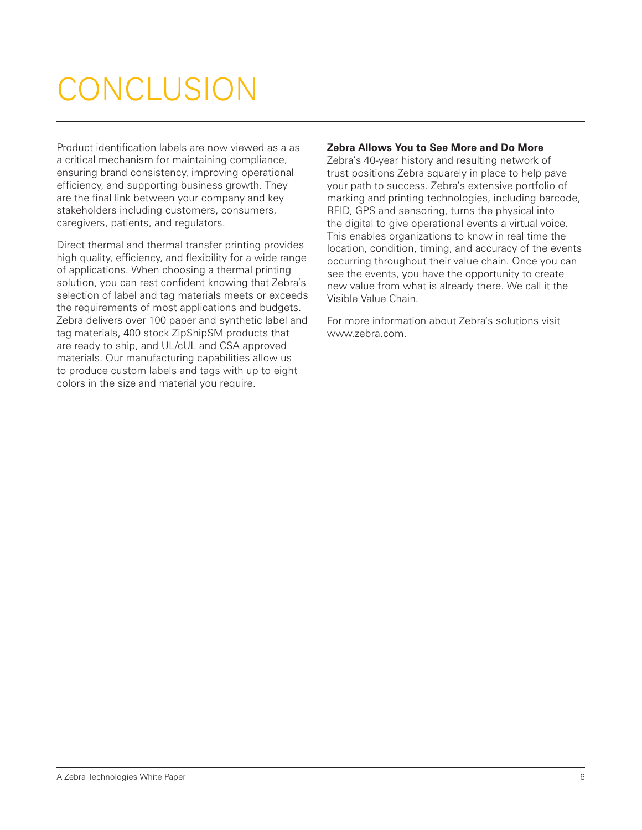# CONCLUSION

Product identification labels are now viewed as a as a critical mechanism for maintaining compliance, ensuring brand consistency, improving operational efficiency, and supporting business growth. They are the final link between your company and key stakeholders including customers, consumers, caregivers, patients, and regulators.

Direct thermal and thermal transfer printing provides high quality, efficiency, and flexibility for a wide range of applications. When choosing a thermal printing solution, you can rest confident knowing that Zebra's selection of label and tag materials meets or exceeds the requirements of most applications and budgets. Zebra delivers over 100 paper and synthetic label and tag materials, 400 stock ZipShipSM products that are ready to ship, and UL/cUL and CSA approved materials. Our manufacturing capabilities allow us to produce custom labels and tags with up to eight colors in the size and material you require.

#### **Zebra Allows You to See More and Do More**

Zebra's 40-year history and resulting network of trust positions Zebra squarely in place to help pave your path to success. Zebra's extensive portfolio of marking and printing technologies, including barcode, RFID, GPS and sensoring, turns the physical into the digital to give operational events a virtual voice. This enables organizations to know in real time the location, condition, timing, and accuracy of the events occurring throughout their value chain. Once you can see the events, you have the opportunity to create new value from what is already there. We call it the Visible Value Chain.

For more information about Zebra's solutions visit www.zebra.com.